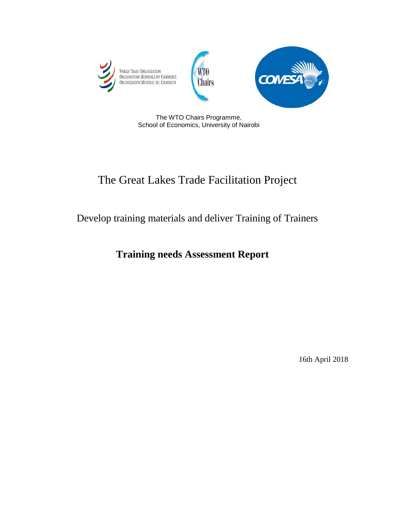

The WTO Chairs Programme, School of Economics, University of Nairobi

# The Great Lakes Trade Facilitation Project

# Develop training materials and deliver Training of Trainers

# **Training needs Assessment Report**

16th April 2018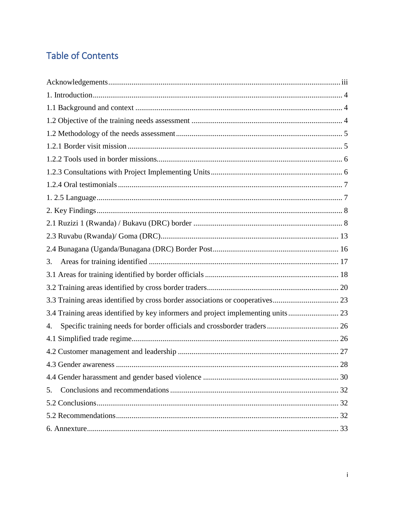# **Table of Contents**

| 3.                                                                               |
|----------------------------------------------------------------------------------|
|                                                                                  |
|                                                                                  |
| 3.3 Training areas identified by cross border associations or cooperatives 23    |
| 3.4 Training areas identified by key informers and project implementing units 23 |
| 4.                                                                               |
|                                                                                  |
|                                                                                  |
| 28                                                                               |
|                                                                                  |
| 5.                                                                               |
|                                                                                  |
|                                                                                  |
|                                                                                  |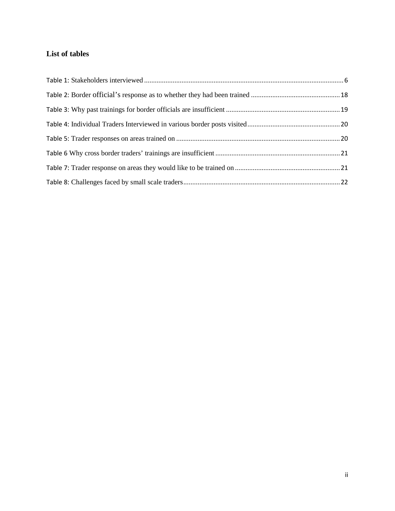## **List of tables**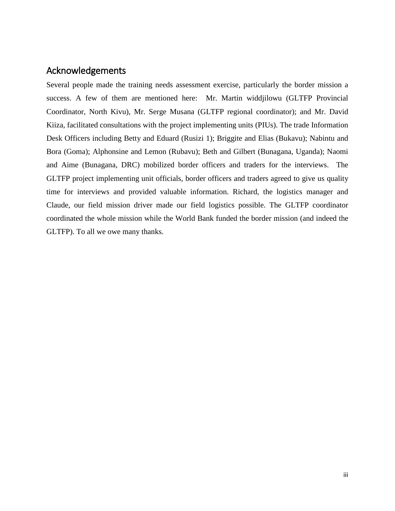# <span id="page-3-0"></span>Acknowledgements

Several people made the training needs assessment exercise, particularly the border mission a success. A few of them are mentioned here: Mr. Martin widdjilowu (GLTFP Provincial Coordinator, North Kivu), Mr. Serge Musana (GLTFP regional coordinator); and Mr. David Kiiza, facilitated consultations with the project implementing units (PIUs). The trade Information Desk Officers including Betty and Eduard (Rusizi 1); Briggite and Elias (Bukavu); Nabintu and Bora (Goma); Alphonsine and Lemon (Rubavu); Beth and Gilbert (Bunagana, Uganda); Naomi and Aime (Bunagana, DRC) mobilized border officers and traders for the interviews. The GLTFP project implementing unit officials, border officers and traders agreed to give us quality time for interviews and provided valuable information. Richard, the logistics manager and Claude, our field mission driver made our field logistics possible. The GLTFP coordinator coordinated the whole mission while the World Bank funded the border mission (and indeed the GLTFP). To all we owe many thanks.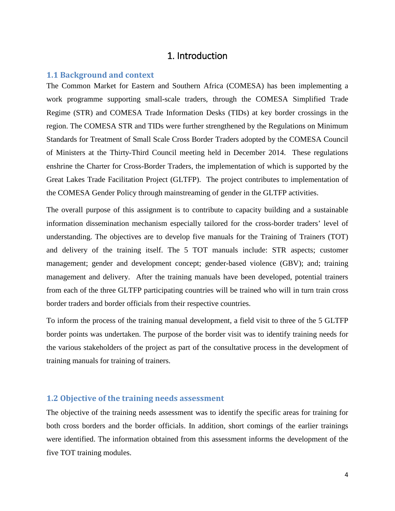## 1. Introduction

#### <span id="page-4-1"></span><span id="page-4-0"></span>**1.1 Background and context**

The Common Market for Eastern and Southern Africa (COMESA) has been implementing a work programme supporting small-scale traders, through the COMESA Simplified Trade Regime (STR) and COMESA Trade Information Desks (TIDs) at key border crossings in the region. The COMESA STR and TIDs were further strengthened by the Regulations on Minimum Standards for Treatment of Small Scale Cross Border Traders adopted by the COMESA Council of Ministers at the Thirty-Third Council meeting held in December 2014. These regulations enshrine the Charter for Cross-Border Traders, the implementation of which is supported by the Great Lakes Trade Facilitation Project (GLTFP). The project contributes to implementation of the COMESA Gender Policy through mainstreaming of gender in the GLTFP activities.

The overall purpose of this assignment is to contribute to capacity building and a sustainable information dissemination mechanism especially tailored for the cross-border traders' level of understanding. The objectives are to develop five manuals for the Training of Trainers (TOT) and delivery of the training itself. The 5 TOT manuals include: STR aspects; customer management; gender and development concept; gender-based violence (GBV); and; training management and delivery. After the training manuals have been developed, potential trainers from each of the three GLTFP participating countries will be trained who will in turn train cross border traders and border officials from their respective countries.

To inform the process of the training manual development, a field visit to three of the 5 GLTFP border points was undertaken. The purpose of the border visit was to identify training needs for the various stakeholders of the project as part of the consultative process in the development of training manuals for training of trainers.

#### <span id="page-4-2"></span>**1.2 Objective of the training needs assessment**

The objective of the training needs assessment was to identify the specific areas for training for both cross borders and the border officials. In addition, short comings of the earlier trainings were identified. The information obtained from this assessment informs the development of the five TOT training modules.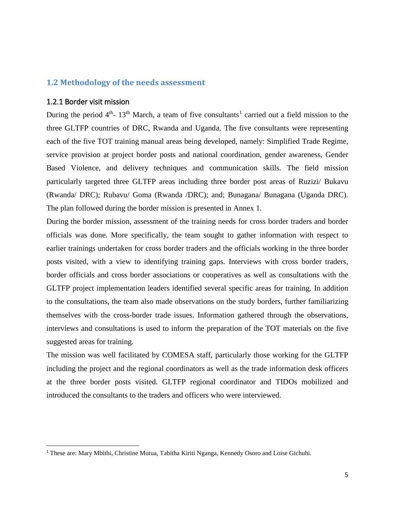### <span id="page-5-1"></span><span id="page-5-0"></span>**1.2 Methodology of the needs assessment**

#### 1.2.1 Border visit mission

During the period  $4<sup>th</sup>$ - [1](#page-5-2)3<sup>th</sup> March, a team of five consultants<sup>1</sup> carried out a field mission to the three GLTFP countries of DRC, Rwanda and Uganda. The five consultants were representing each of the five TOT training manual areas being developed, namely: Simplified Trade Regime, service provision at project border posts and national coordination, gender awareness, Gender Based Violence, and delivery techniques and communication skills. The field mission particularly targeted three GLTFP areas including three border post areas of Ruzizi/ Bukavu (Rwanda/ DRC); Rubavu/ Goma (Rwanda /DRC); and; Bunagana/ Bunagana (Uganda DRC). The plan followed during the border mission is presented in Annex 1.

During the border mission, assessment of the training needs for cross border traders and border officials was done. More specifically, the team sought to gather information with respect to earlier trainings undertaken for cross border traders and the officials working in the three border posts visited, with a view to identifying training gaps. Interviews with cross border traders, border officials and cross border associations or cooperatives as well as consultations with the GLTFP project implementation leaders identified several specific areas for training. In addition to the consultations, the team also made observations on the study borders, further familiarizing themselves with the cross-border trade issues. Information gathered through the observations, interviews and consultations is used to inform the preparation of the TOT materials on the five suggested areas for training.

The mission was well facilitated by COMESA staff, particularly those working for the GLTFP including the project and the regional coordinators as well as the trade information desk officers at the three border posts visited. GLTFP regional coordinator and TIDOs mobilized and introduced the consultants to the traders and officers who were interviewed.

<span id="page-5-2"></span> <sup>1</sup> These are: Mary Mbithi, Christine Mutua, Tabitha Kiriti Nganga, Kennedy Osoro and Loise Gichuhi.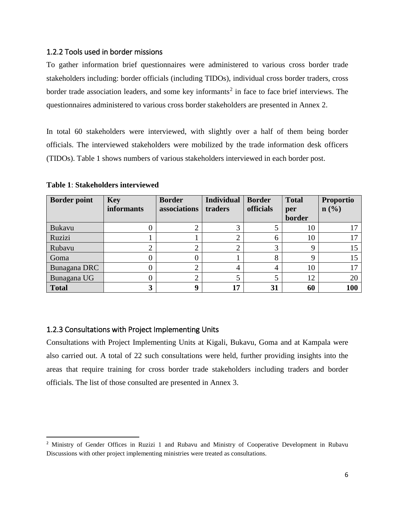#### <span id="page-6-0"></span>1.2.2 Tools used in border missions

To gather information brief questionnaires were administered to various cross border trade stakeholders including: border officials (including TIDOs), individual cross border traders, cross border trade association leaders, and some key informants<sup>[2](#page-6-3)</sup> in face to face brief interviews. The questionnaires administered to various cross border stakeholders are presented in Annex 2.

In total 60 stakeholders were interviewed, with slightly over a half of them being border officials. The interviewed stakeholders were mobilized by the trade information desk officers (TIDOs). Table 1 shows numbers of various stakeholders interviewed in each border post.

| <b>Border point</b> | <b>Key</b>        | <b>Border</b> | <b>Individual</b> | <b>Border</b>     | <b>Total</b>  | <b>Proportio</b> |
|---------------------|-------------------|---------------|-------------------|-------------------|---------------|------------------|
|                     | <b>informants</b> | associations  | traders           | officials         | per<br>border | $\mathbf{n}(\%)$ |
| <b>Bukavu</b>       |                   |               |                   |                   | 10            | 17               |
| Ruzizi              |                   |               |                   | 6                 | 10            | 17               |
| Rubavu              |                   | ⌒<br>∠        |                   | $\mathbf{\Omega}$ | O             | 15               |
| Goma                |                   |               |                   |                   | a             | 15               |
| Bunagana DRC        |                   | ∠             | 4                 | 4                 | 10            | 17               |
| Bunagana UG         |                   |               |                   |                   | 12            | 20               |
| <b>Total</b>        |                   | 9             | 17                | 31                | 60            | 100              |

<span id="page-6-2"></span>**Table 1**: **Stakeholders interviewed**

### <span id="page-6-1"></span>1.2.3 Consultations with Project Implementing Units

Consultations with Project Implementing Units at Kigali, Bukavu, Goma and at Kampala were also carried out. A total of 22 such consultations were held, further providing insights into the areas that require training for cross border trade stakeholders including traders and border officials. The list of those consulted are presented in Annex 3.

<span id="page-6-3"></span><sup>&</sup>lt;sup>2</sup> Ministry of Gender Offices in Ruzizi 1 and Rubavu and Ministry of Cooperative Development in Rubavu Discussions with other project implementing ministries were treated as consultations.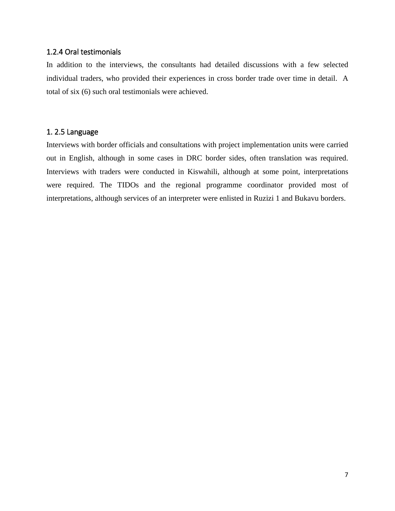#### <span id="page-7-0"></span>1.2.4 Oral testimonials

In addition to the interviews, the consultants had detailed discussions with a few selected individual traders, who provided their experiences in cross border trade over time in detail. A total of six (6) such oral testimonials were achieved.

#### <span id="page-7-1"></span>1. 2.5 Language

Interviews with border officials and consultations with project implementation units were carried out in English, although in some cases in DRC border sides, often translation was required. Interviews with traders were conducted in Kiswahili, although at some point, interpretations were required. The TIDOs and the regional programme coordinator provided most of interpretations, although services of an interpreter were enlisted in Ruzizi 1 and Bukavu borders.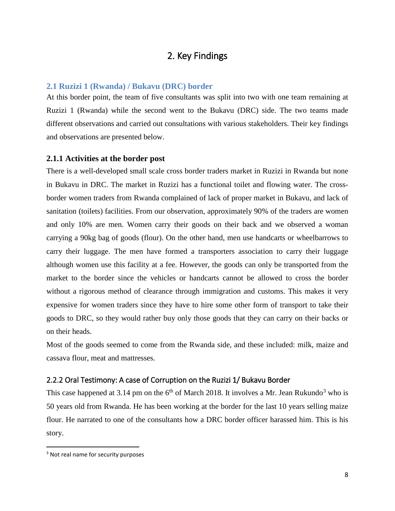# 2. Key Findings

### <span id="page-8-1"></span><span id="page-8-0"></span>**2.1 Ruzizi 1 (Rwanda) / Bukavu (DRC) border**

At this border point, the team of five consultants was split into two with one team remaining at Ruzizi 1 (Rwanda) while the second went to the Bukavu (DRC) side. The two teams made different observations and carried out consultations with various stakeholders. Their key findings and observations are presented below.

### **2.1.1 Activities at the border post**

There is a well-developed small scale cross border traders market in Ruzizi in Rwanda but none in Bukavu in DRC. The market in Ruzizi has a functional toilet and flowing water. The crossborder women traders from Rwanda complained of lack of proper market in Bukavu, and lack of sanitation (toilets) facilities. From our observation, approximately 90% of the traders are women and only 10% are men. Women carry their goods on their back and we observed a woman carrying a 90kg bag of goods (flour). On the other hand, men use handcarts or wheelbarrows to carry their luggage. The men have formed a transporters association to carry their luggage although women use this facility at a fee. However, the goods can only be transported from the market to the border since the vehicles or handcarts cannot be allowed to cross the border without a rigorous method of clearance through immigration and customs. This makes it very expensive for women traders since they have to hire some other form of transport to take their goods to DRC, so they would rather buy only those goods that they can carry on their backs or on their heads.

Most of the goods seemed to come from the Rwanda side, and these included: milk, maize and cassava flour, meat and mattresses.

### 2.2.2 Oral Testimony: A case of Corruption on the Ruzizi 1/ Bukavu Border

This case happened at [3](#page-8-2).14 pm on the  $6<sup>th</sup>$  of March 2018. It involves a Mr. Jean Rukundo<sup>3</sup> who is 50 years old from Rwanda. He has been working at the border for the last 10 years selling maize flour. He narrated to one of the consultants how a DRC border officer harassed him. This is his story.

<span id="page-8-2"></span><sup>&</sup>lt;sup>3</sup> Not real name for security purposes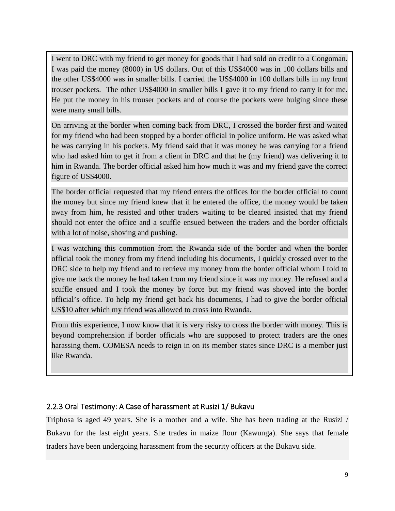I went to DRC with my friend to get money for goods that I had sold on credit to a Congoman. I was paid the money (8000) in US dollars. Out of this US\$4000 was in 100 dollars bills and the other US\$4000 was in smaller bills. I carried the US\$4000 in 100 dollars bills in my front trouser pockets. The other US\$4000 in smaller bills I gave it to my friend to carry it for me. He put the money in his trouser pockets and of course the pockets were bulging since these were many small bills.

On arriving at the border when coming back from DRC, I crossed the border first and waited for my friend who had been stopped by a border official in police uniform. He was asked what he was carrying in his pockets. My friend said that it was money he was carrying for a friend who had asked him to get it from a client in DRC and that he (my friend) was delivering it to him in Rwanda. The border official asked him how much it was and my friend gave the correct figure of US\$4000.

The border official requested that my friend enters the offices for the border official to count the money but since my friend knew that if he entered the office, the money would be taken away from him, he resisted and other traders waiting to be cleared insisted that my friend should not enter the office and a scuffle ensued between the traders and the border officials with a lot of noise, shoving and pushing.

I was watching this commotion from the Rwanda side of the border and when the border official took the money from my friend including his documents, I quickly crossed over to the DRC side to help my friend and to retrieve my money from the border official whom I told to give me back the money he had taken from my friend since it was my money. He refused and a scuffle ensued and I took the money by force but my friend was shoved into the border official's office. To help my friend get back his documents, I had to give the border official US\$10 after which my friend was allowed to cross into Rwanda.

From this experience, I now know that it is very risky to cross the border with money. This is beyond comprehension if border officials who are supposed to protect traders are the ones harassing them. COMESA needs to reign in on its member states since DRC is a member just like Rwanda.

## 2.2.3 Oral Testimony: A Case of harassment at Rusizi 1/ Bukavu

Triphosa is aged 49 years. She is a mother and a wife. She has been trading at the Rusizi / Bukavu for the last eight years. She trades in maize flour (Kawunga). She says that female traders have been undergoing harassment from the security officers at the Bukavu side.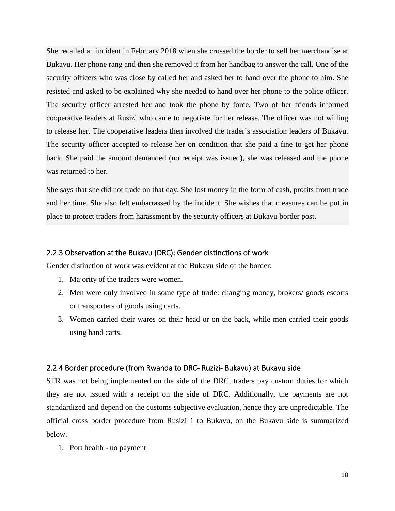She recalled an incident in February 2018 when she crossed the border to sell her merchandise at Bukavu. Her phone rang and then she removed it from her handbag to answer the call. One of the security officers who was close by called her and asked her to hand over the phone to him. She resisted and asked to be explained why she needed to hand over her phone to the police officer. The security officer arrested her and took the phone by force. Two of her friends informed cooperative leaders at Rusizi who came to negotiate for her release. The officer was not willing to release her. The cooperative leaders then involved the trader's association leaders of Bukavu. The security officer accepted to release her on condition that she paid a fine to get her phone back. She paid the amount demanded (no receipt was issued), she was released and the phone was returned to her.

She says that she did not trade on that day. She lost money in the form of cash, profits from trade and her time. She also felt embarrassed by the incident. She wishes that measures can be put in place to protect traders from harassment by the security officers at Bukavu border post.

#### 2.2.3 Observation at the Bukavu (DRC): Gender distinctions of work

Gender distinction of work was evident at the Bukavu side of the border:

- 1. Majority of the traders were women.
- 2. Men were only involved in some type of trade: changing money, brokers/ goods escorts or transporters of goods using carts.
- 3. Women carried their wares on their head or on the back, while men carried their goods using hand carts.

#### 2.2.4 Border procedure (from Rwanda to DRC- Ruzizi- Bukavu) at Bukavu side

STR was not being implemented on the side of the DRC, traders pay custom duties for which they are not issued with a receipt on the side of DRC. Additionally, the payments are not standardized and depend on the customs subjective evaluation, hence they are unpredictable. The official cross border procedure from Rusizi 1 to Bukavu, on the Bukavu side is summarized below.

1. Port health - no payment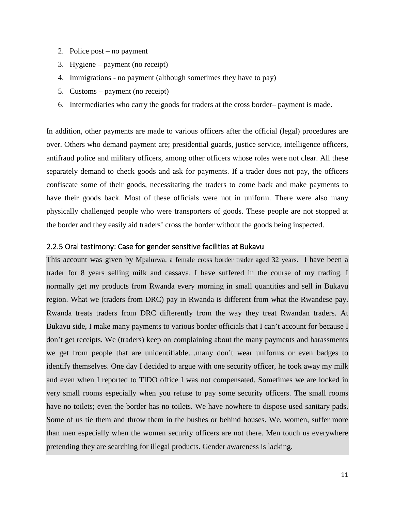- 2. Police post no payment
- 3. Hygiene payment (no receipt)
- 4. Immigrations no payment (although sometimes they have to pay)
- 5. Customs payment (no receipt)
- 6. Intermediaries who carry the goods for traders at the cross border– payment is made.

In addition, other payments are made to various officers after the official (legal) procedures are over. Others who demand payment are; presidential guards, justice service, intelligence officers, antifraud police and military officers, among other officers whose roles were not clear. All these separately demand to check goods and ask for payments. If a trader does not pay, the officers confiscate some of their goods, necessitating the traders to come back and make payments to have their goods back. Most of these officials were not in uniform. There were also many physically challenged people who were transporters of goods. These people are not stopped at the border and they easily aid traders' cross the border without the goods being inspected.

### 2.2.5 Oral testimony: Case for gender sensitive facilities at Bukavu

This account was given by Mpalurwa, a female cross border trader aged 32 years. I have been a trader for 8 years selling milk and cassava. I have suffered in the course of my trading. I normally get my products from Rwanda every morning in small quantities and sell in Bukavu region. What we (traders from DRC) pay in Rwanda is different from what the Rwandese pay. Rwanda treats traders from DRC differently from the way they treat Rwandan traders. At Bukavu side, I make many payments to various border officials that I can't account for because I don't get receipts. We (traders) keep on complaining about the many payments and harassments we get from people that are unidentifiable…many don't wear uniforms or even badges to identify themselves. One day I decided to argue with one security officer, he took away my milk and even when I reported to TIDO office I was not compensated. Sometimes we are locked in very small rooms especially when you refuse to pay some security officers. The small rooms have no toilets; even the border has no toilets. We have nowhere to dispose used sanitary pads. Some of us tie them and throw them in the bushes or behind houses. We, women, suffer more than men especially when the women security officers are not there. Men touch us everywhere pretending they are searching for illegal products. Gender awareness is lacking.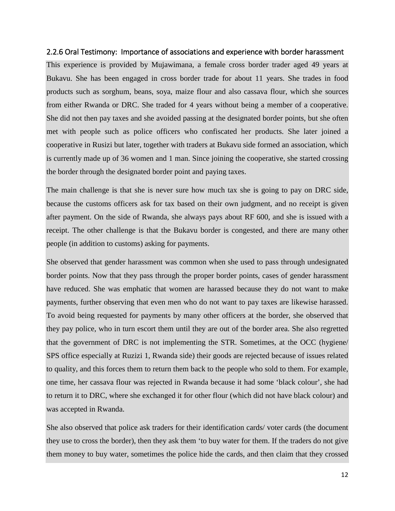#### 2.2.6 Oral Testimony: Importance of associations and experience with border harassment

This experience is provided by Mujawimana, a female cross border trader aged 49 years at Bukavu. She has been engaged in cross border trade for about 11 years. She trades in food products such as sorghum, beans, soya, maize flour and also cassava flour, which she sources from either Rwanda or DRC. She traded for 4 years without being a member of a cooperative. She did not then pay taxes and she avoided passing at the designated border points, but she often met with people such as police officers who confiscated her products. She later joined a cooperative in Rusizi but later, together with traders at Bukavu side formed an association, which is currently made up of 36 women and 1 man. Since joining the cooperative, she started crossing the border through the designated border point and paying taxes.

The main challenge is that she is never sure how much tax she is going to pay on DRC side, because the customs officers ask for tax based on their own judgment, and no receipt is given after payment. On the side of Rwanda, she always pays about RF 600, and she is issued with a receipt. The other challenge is that the Bukavu border is congested, and there are many other people (in addition to customs) asking for payments.

She observed that gender harassment was common when she used to pass through undesignated border points. Now that they pass through the proper border points, cases of gender harassment have reduced. She was emphatic that women are harassed because they do not want to make payments, further observing that even men who do not want to pay taxes are likewise harassed. To avoid being requested for payments by many other officers at the border, she observed that they pay police, who in turn escort them until they are out of the border area. She also regretted that the government of DRC is not implementing the STR. Sometimes, at the OCC (hygiene/ SPS office especially at Ruzizi 1, Rwanda side) their goods are rejected because of issues related to quality, and this forces them to return them back to the people who sold to them. For example, one time, her cassava flour was rejected in Rwanda because it had some 'black colour', she had to return it to DRC, where she exchanged it for other flour (which did not have black colour) and was accepted in Rwanda.

She also observed that police ask traders for their identification cards/ voter cards (the document they use to cross the border), then they ask them 'to buy water for them. If the traders do not give them money to buy water, sometimes the police hide the cards, and then claim that they crossed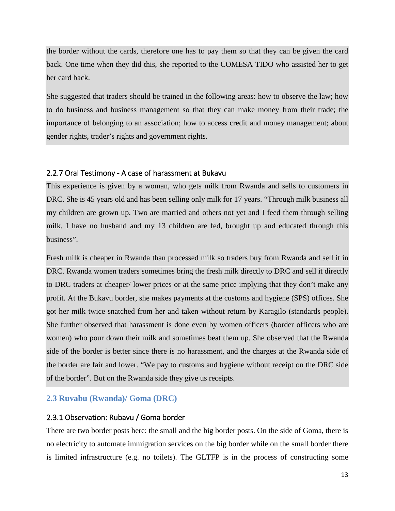the border without the cards, therefore one has to pay them so that they can be given the card back. One time when they did this, she reported to the COMESA TIDO who assisted her to get her card back.

She suggested that traders should be trained in the following areas: how to observe the law; how to do business and business management so that they can make money from their trade; the importance of belonging to an association; how to access credit and money management; about gender rights, trader's rights and government rights.

#### 2.2.7 Oral Testimony - A case of harassment at Bukavu

This experience is given by a woman, who gets milk from Rwanda and sells to customers in DRC. She is 45 years old and has been selling only milk for 17 years. "Through milk business all my children are grown up. Two are married and others not yet and I feed them through selling milk. I have no husband and my 13 children are fed, brought up and educated through this business".

Fresh milk is cheaper in Rwanda than processed milk so traders buy from Rwanda and sell it in DRC. Rwanda women traders sometimes bring the fresh milk directly to DRC and sell it directly to DRC traders at cheaper/ lower prices or at the same price implying that they don't make any profit. At the Bukavu border, she makes payments at the customs and hygiene (SPS) offices. She got her milk twice snatched from her and taken without return by Karagilo (standards people). She further observed that harassment is done even by women officers (border officers who are women) who pour down their milk and sometimes beat them up. She observed that the Rwanda side of the border is better since there is no harassment, and the charges at the Rwanda side of the border are fair and lower. "We pay to customs and hygiene without receipt on the DRC side of the border". But on the Rwanda side they give us receipts.

#### <span id="page-13-0"></span>**2.3 Ruvabu (Rwanda)/ Goma (DRC)**

#### 2.3.1 Observation: Rubavu / Goma border

There are two border posts here: the small and the big border posts. On the side of Goma, there is no electricity to automate immigration services on the big border while on the small border there is limited infrastructure (e.g. no toilets). The GLTFP is in the process of constructing some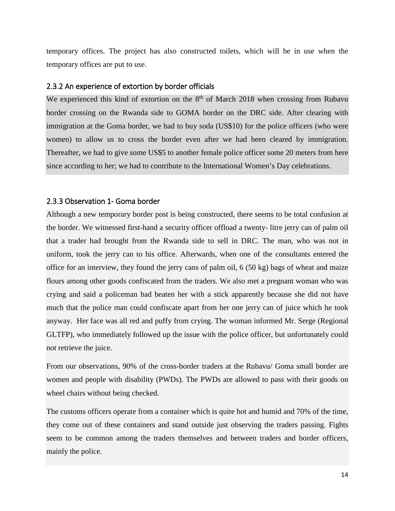temporary offices. The project has also constructed toilets, which will be in use when the temporary offices are put to use.

#### 2.3.2 An experience of extortion by border officials

We experienced this kind of extortion on the  $8<sup>th</sup>$  of March 2018 when crossing from Rubavu border crossing on the Rwanda side to GOMA border on the DRC side. After clearing with immigration at the Goma border, we had to buy soda (US\$10) for the police officers (who were women) to allow us to cross the border even after we had been cleared by immigration. Thereafter, we had to give some US\$5 to another female police officer some 20 meters from here since according to her; we had to contribute to the International Women's Day celebrations.

### 2.3.3 Observation 1- Goma border

Although a new temporary border post is being constructed, there seems to be total confusion at the border. We witnessed first-hand a security officer offload a twenty- litre jerry can of palm oil that a trader had brought from the Rwanda side to sell in DRC. The man, who was not in uniform, took the jerry can to his office. Afterwards, when one of the consultants entered the office for an interview, they found the jerry cans of palm oil, 6 (50 kg) bags of wheat and maize flours among other goods confiscated from the traders. We also met a pregnant woman who was crying and said a policeman had beaten her with a stick apparently because she did not have much that the police man could confiscate apart from her one jerry can of juice which he took anyway. Her face was all red and puffy from crying. The woman informed Mr. Serge (Regional GLTFP), who immediately followed up the issue with the police officer, but unfortunately could not retrieve the juice.

From our observations, 90% of the cross-border traders at the Rubavu/ Goma small border are women and people with disability (PWDs). The PWDs are allowed to pass with their goods on wheel chairs without being checked.

The customs officers operate from a container which is quite hot and humid and 70% of the time, they come out of these containers and stand outside just observing the traders passing. Fights seem to be common among the traders themselves and between traders and border officers, mainly the police.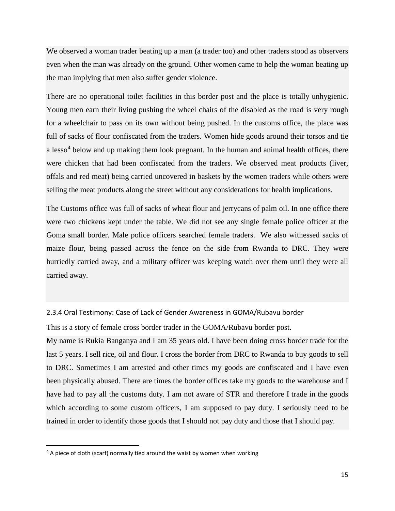We observed a woman trader beating up a man (a trader too) and other traders stood as observers even when the man was already on the ground. Other women came to help the woman beating up the man implying that men also suffer gender violence.

There are no operational toilet facilities in this border post and the place is totally unhygienic. Young men earn their living pushing the wheel chairs of the disabled as the road is very rough for a wheelchair to pass on its own without being pushed. In the customs office, the place was full of sacks of flour confiscated from the traders. Women hide goods around their torsos and tie a lesso<sup>[4](#page-15-0)</sup> below and up making them look pregnant. In the human and animal health offices, there were chicken that had been confiscated from the traders. We observed meat products (liver, offals and red meat) being carried uncovered in baskets by the women traders while others were selling the meat products along the street without any considerations for health implications.

The Customs office was full of sacks of wheat flour and jerrycans of palm oil. In one office there were two chickens kept under the table. We did not see any single female police officer at the Goma small border. Male police officers searched female traders. We also witnessed sacks of maize flour, being passed across the fence on the side from Rwanda to DRC. They were hurriedly carried away, and a military officer was keeping watch over them until they were all carried away.

#### 2.3.4 Oral Testimony: Case of Lack of Gender Awareness in GOMA/Rubavu border

This is a story of female cross border trader in the GOMA/Rubavu border post.

My name is Rukia Banganya and I am 35 years old. I have been doing cross border trade for the last 5 years. I sell rice, oil and flour. I cross the border from DRC to Rwanda to buy goods to sell to DRC. Sometimes I am arrested and other times my goods are confiscated and I have even been physically abused. There are times the border offices take my goods to the warehouse and I have had to pay all the customs duty. I am not aware of STR and therefore I trade in the goods which according to some custom officers, I am supposed to pay duty. I seriously need to be trained in order to identify those goods that I should not pay duty and those that I should pay.

<span id="page-15-0"></span><sup>&</sup>lt;sup>4</sup> A piece of cloth (scarf) normally tied around the waist by women when working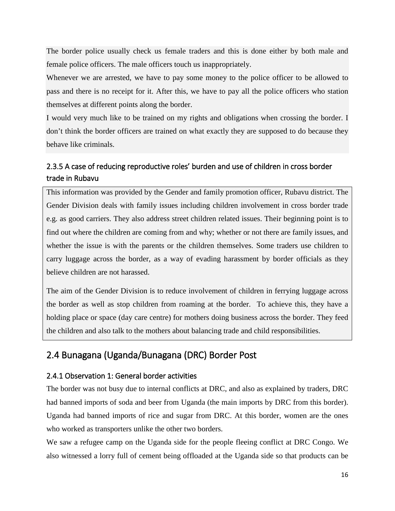The border police usually check us female traders and this is done either by both male and female police officers. The male officers touch us inappropriately.

Whenever we are arrested, we have to pay some money to the police officer to be allowed to pass and there is no receipt for it. After this, we have to pay all the police officers who station themselves at different points along the border.

I would very much like to be trained on my rights and obligations when crossing the border. I don't think the border officers are trained on what exactly they are supposed to do because they behave like criminals.

# 2.3.5 A case of reducing reproductive roles' burden and use of children in cross border trade in Rubavu

This information was provided by the Gender and family promotion officer, Rubavu district. The Gender Division deals with family issues including children involvement in cross border trade e.g. as good carriers. They also address street children related issues. Their beginning point is to find out where the children are coming from and why; whether or not there are family issues, and whether the issue is with the parents or the children themselves. Some traders use children to carry luggage across the border, as a way of evading harassment by border officials as they believe children are not harassed.

The aim of the Gender Division is to reduce involvement of children in ferrying luggage across the border as well as stop children from roaming at the border. To achieve this, they have a holding place or space (day care centre) for mothers doing business across the border. They feed the children and also talk to the mothers about balancing trade and child responsibilities.

# <span id="page-16-0"></span>2.4 Bunagana (Uganda/Bunagana (DRC) Border Post

# 2.4.1 Observation 1: General border activities

The border was not busy due to internal conflicts at DRC, and also as explained by traders, DRC had banned imports of soda and beer from Uganda (the main imports by DRC from this border). Uganda had banned imports of rice and sugar from DRC. At this border, women are the ones who worked as transporters unlike the other two borders.

We saw a refugee camp on the Uganda side for the people fleeing conflict at DRC Congo. We also witnessed a lorry full of cement being offloaded at the Uganda side so that products can be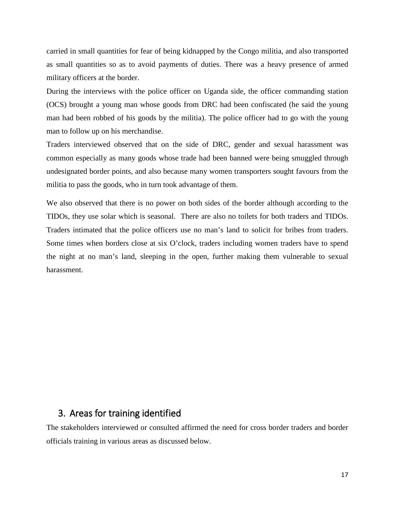carried in small quantities for fear of being kidnapped by the Congo militia, and also transported as small quantities so as to avoid payments of duties. There was a heavy presence of armed military officers at the border.

During the interviews with the police officer on Uganda side, the officer commanding station (OCS) brought a young man whose goods from DRC had been confiscated (he said the young man had been robbed of his goods by the militia). The police officer had to go with the young man to follow up on his merchandise.

Traders interviewed observed that on the side of DRC, gender and sexual harassment was common especially as many goods whose trade had been banned were being smuggled through undesignated border points, and also because many women transporters sought favours from the militia to pass the goods, who in turn took advantage of them.

We also observed that there is no power on both sides of the border although according to the TIDOs, they use solar which is seasonal. There are also no toilets for both traders and TIDOs. Traders intimated that the police officers use no man's land to solicit for bribes from traders. Some times when borders close at six O'clock, traders including women traders have to spend the night at no man's land, sleeping in the open, further making them vulnerable to sexual harassment.

# <span id="page-17-0"></span>3. Areas for training identified

The stakeholders interviewed or consulted affirmed the need for cross border traders and border officials training in various areas as discussed below.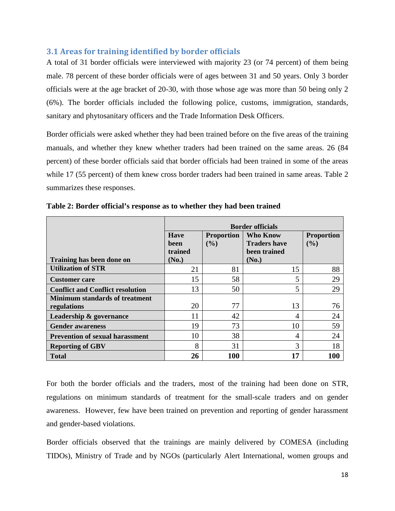### <span id="page-18-0"></span>**3.1 Areas for training identified by border officials**

A total of 31 border officials were interviewed with majority 23 (or 74 percent) of them being male. 78 percent of these border officials were of ages between 31 and 50 years. Only 3 border officials were at the age bracket of 20-30, with those whose age was more than 50 being only 2 (6%). The border officials included the following police, customs, immigration, standards, sanitary and phytosanitary officers and the Trade Information Desk Officers.

Border officials were asked whether they had been trained before on the five areas of the training manuals, and whether they knew whether traders had been trained on the same areas. 26 (84 percent) of these border officials said that border officials had been trained in some of the areas while 17 (55 percent) of them knew cross border traders had been trained in same areas. Table 2 summarizes these responses.

|                                         | <b>Border officials</b>        |                          |       |    |  |
|-----------------------------------------|--------------------------------|--------------------------|-------|----|--|
|                                         | <b>Have</b><br>been<br>trained | <b>Proportion</b><br>(%) |       |    |  |
| Training has been done on               | (No.)                          |                          | (No.) |    |  |
| <b>Utilization of STR</b>               | 21                             | 81                       | 15    | 88 |  |
| <b>Customer</b> care                    | 15                             | 58                       | 5     | 29 |  |
| <b>Conflict and Conflict resolution</b> | 13                             | 50                       | 5     | 29 |  |
| <b>Minimum standards of treatment</b>   |                                |                          |       |    |  |
| regulations                             | 20                             | 77                       | 13    | 76 |  |
| Leadership & governance                 | 11                             | 42                       | 4     | 24 |  |
| <b>Gender awareness</b>                 | 19                             | 73                       | 10    | 59 |  |
| <b>Prevention of sexual harassment</b>  | 10                             | 38                       | 4     | 24 |  |
| <b>Reporting of GBV</b>                 | 8                              | 31                       | 3     | 18 |  |
| <b>Total</b>                            | 100<br>17<br>100<br>26         |                          |       |    |  |

<span id="page-18-1"></span>**Table 2: Border official's response as to whether they had been trained** 

For both the border officials and the traders, most of the training had been done on STR, regulations on minimum standards of treatment for the small-scale traders and on gender awareness. However, few have been trained on prevention and reporting of gender harassment and gender-based violations.

Border officials observed that the trainings are mainly delivered by COMESA (including TIDOs), Ministry of Trade and by NGOs (particularly Alert International, women groups and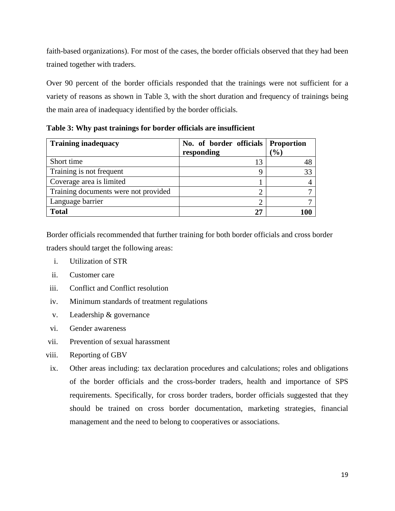faith-based organizations). For most of the cases, the border officials observed that they had been trained together with traders.

Over 90 percent of the border officials responded that the trainings were not sufficient for a variety of reasons as shown in Table 3, with the short duration and frequency of trainings being the main area of inadequacy identified by the border officials.

<span id="page-19-0"></span>**Table 3: Why past trainings for border officials are insufficient**

| <b>Training inadequacy</b>           | No. of border officials Proportion |                 |
|--------------------------------------|------------------------------------|-----------------|
|                                      | responding                         | $\mathcal{O}_0$ |
| Short time                           | 13                                 |                 |
| Training is not frequent             |                                    | 33              |
| Coverage area is limited             |                                    |                 |
| Training documents were not provided |                                    |                 |
| Language barrier                     |                                    |                 |
| <b>Total</b>                         | 25                                 |                 |

Border officials recommended that further training for both border officials and cross border traders should target the following areas:

- i. Utilization of STR
- ii. Customer care
- iii. Conflict and Conflict resolution
- iv. Minimum standards of treatment regulations
- v. Leadership & governance
- vi. Gender awareness
- vii. Prevention of sexual harassment
- viii. Reporting of GBV
- ix. Other areas including: tax declaration procedures and calculations; roles and obligations of the border officials and the cross-border traders, health and importance of SPS requirements. Specifically, for cross border traders, border officials suggested that they should be trained on cross border documentation, marketing strategies, financial management and the need to belong to cooperatives or associations.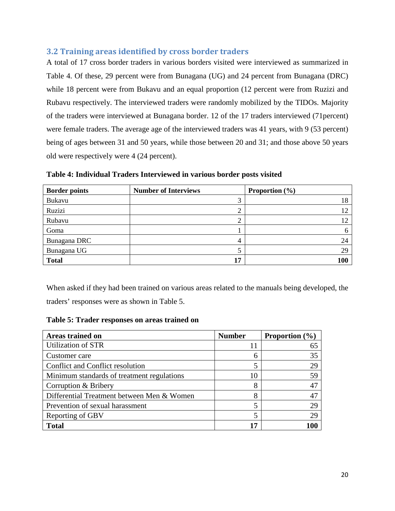## <span id="page-20-0"></span>**3.2 Training areas identified by cross border traders**

A total of 17 cross border traders in various borders visited were interviewed as summarized in Table 4. Of these, 29 percent were from Bunagana (UG) and 24 percent from Bunagana (DRC) while 18 percent were from Bukavu and an equal proportion (12 percent were from Ruzizi and Rubavu respectively. The interviewed traders were randomly mobilized by the TIDOs. Majority of the traders were interviewed at Bunagana border. 12 of the 17 traders interviewed (71percent) were female traders. The average age of the interviewed traders was 41 years, with 9 (53 percent) being of ages between 31 and 50 years, while those between 20 and 31; and those above 50 years old were respectively were 4 (24 percent).

| <b>Border points</b> | <b>Number of Interviews</b> | Proportion $(\% )$ |
|----------------------|-----------------------------|--------------------|
| Bukavu               |                             | 18                 |
| Ruzizi               |                             | 12                 |
| Rubavu               |                             | 12                 |
| Goma                 |                             | 6                  |
| Bunagana DRC         |                             | 24                 |
| Bunagana UG          |                             | 29                 |
| <b>Total</b>         |                             | 100                |

<span id="page-20-1"></span>**Table 4: Individual Traders Interviewed in various border posts visited**

When asked if they had been trained on various areas related to the manuals being developed, the traders' responses were as shown in Table 5.

<span id="page-20-2"></span>**Table 5: Trader responses on areas trained on**

| Areas trained on                           | <b>Number</b> | <b>Proportion</b> $(\% )$ |
|--------------------------------------------|---------------|---------------------------|
| Utilization of STR                         |               |                           |
| Customer care                              | h             | 35                        |
| Conflict and Conflict resolution           |               | 29                        |
| Minimum standards of treatment regulations | 10            |                           |
| Corruption & Bribery                       | 8             | 47                        |
| Differential Treatment between Men & Women | 8             |                           |
| Prevention of sexual harassment            |               | 29                        |
| Reporting of GBV                           |               | 29                        |
| <b>Total</b>                               | 17            |                           |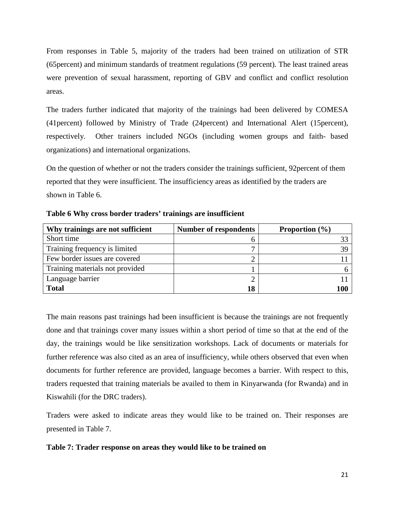From responses in Table 5, majority of the traders had been trained on utilization of STR (65percent) and minimum standards of treatment regulations (59 percent). The least trained areas were prevention of sexual harassment, reporting of GBV and conflict and conflict resolution areas.

The traders further indicated that majority of the trainings had been delivered by COMESA (41percent) followed by Ministry of Trade (24percent) and International Alert (15percent), respectively. Other trainers included NGOs (including women groups and faith- based organizations) and international organizations.

On the question of whether or not the traders consider the trainings sufficient, 92percent of them reported that they were insufficient. The insufficiency areas as identified by the traders are shown in Table 6.

| Why trainings are not sufficient | <b>Number of respondents</b> | <b>Proportion</b> $(\% )$ |
|----------------------------------|------------------------------|---------------------------|
| Short time                       |                              |                           |
| Training frequency is limited    |                              |                           |
| Few border issues are covered    |                              |                           |
| Training materials not provided  |                              |                           |
| Language barrier                 |                              |                           |
| <b>Total</b>                     | 18                           |                           |

<span id="page-21-0"></span>**Table 6 Why cross border traders' trainings are insufficient**

The main reasons past trainings had been insufficient is because the trainings are not frequently done and that trainings cover many issues within a short period of time so that at the end of the day, the trainings would be like sensitization workshops. Lack of documents or materials for further reference was also cited as an area of insufficiency, while others observed that even when documents for further reference are provided, language becomes a barrier. With respect to this, traders requested that training materials be availed to them in Kinyarwanda (for Rwanda) and in Kiswahili (for the DRC traders).

Traders were asked to indicate areas they would like to be trained on. Their responses are presented in Table 7.

### <span id="page-21-1"></span>**Table 7: Trader response on areas they would like to be trained on**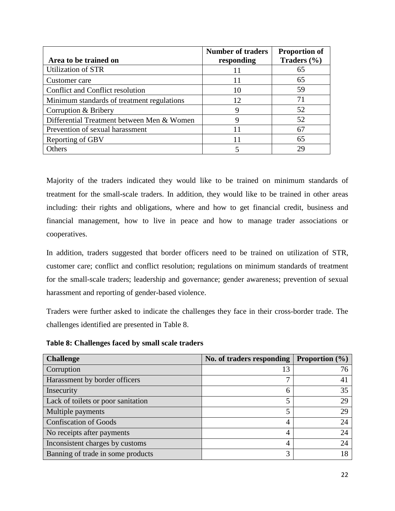|                                            | <b>Number of traders</b> | <b>Proportion of</b> |
|--------------------------------------------|--------------------------|----------------------|
| Area to be trained on                      | responding               | Traders $(\% )$      |
| Utilization of STR                         | 11                       | 65                   |
| Customer care                              | 11                       | 65                   |
| Conflict and Conflict resolution           | 10                       | 59                   |
| Minimum standards of treatment regulations | 12                       | 71                   |
| Corruption & Bribery                       | 9                        | 52                   |
| Differential Treatment between Men & Women | 9                        | 52                   |
| Prevention of sexual harassment            | 11                       | 67                   |
| Reporting of GBV                           | 11                       | 65                   |
| Others                                     |                          | 29                   |

Majority of the traders indicated they would like to be trained on minimum standards of treatment for the small-scale traders. In addition, they would like to be trained in other areas including: their rights and obligations, where and how to get financial credit, business and financial management, how to live in peace and how to manage trader associations or cooperatives.

In addition, traders suggested that border officers need to be trained on utilization of STR, customer care; conflict and conflict resolution; regulations on minimum standards of treatment for the small-scale traders; leadership and governance; gender awareness; prevention of sexual harassment and reporting of gender-based violence.

Traders were further asked to indicate the challenges they face in their cross-border trade. The challenges identified are presented in Table 8.

<span id="page-22-0"></span>**Table 8: Challenges faced by small scale traders**

| <b>Challenge</b>                   | No. of traders responding | <b>Proportion</b> $(\%)$ |
|------------------------------------|---------------------------|--------------------------|
| Corruption                         | 13                        | 76                       |
| Harassment by border officers      | ⇁                         | 4                        |
| Insecurity                         | 6                         | 35                       |
| Lack of toilets or poor sanitation |                           | 29                       |
| Multiple payments                  |                           | 29                       |
| <b>Confiscation of Goods</b>       | 4                         | 24                       |
| No receipts after payments         | 4                         | 24                       |
| Inconsistent charges by customs    | 4                         | 24                       |
| Banning of trade in some products  | 3                         | 18                       |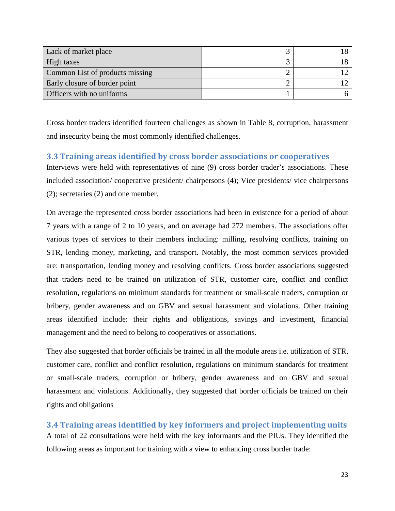| Lack of market place            |  |
|---------------------------------|--|
| High taxes                      |  |
| Common List of products missing |  |
| Early closure of border point   |  |
| Officers with no uniforms       |  |

Cross border traders identified fourteen challenges as shown in Table 8, corruption, harassment and insecurity being the most commonly identified challenges.

### <span id="page-23-0"></span>**3.3 Training areas identified by cross border associations or cooperatives**

Interviews were held with representatives of nine (9) cross border trader's associations. These included association/ cooperative president/ chairpersons (4); Vice presidents/ vice chairpersons (2); secretaries (2) and one member.

On average the represented cross border associations had been in existence for a period of about 7 years with a range of 2 to 10 years, and on average had 272 members. The associations offer various types of services to their members including: milling, resolving conflicts, training on STR, lending money, marketing, and transport. Notably, the most common services provided are: transportation, lending money and resolving conflicts. Cross border associations suggested that traders need to be trained on utilization of STR, customer care, conflict and conflict resolution, regulations on minimum standards for treatment or small-scale traders, corruption or bribery, gender awareness and on GBV and sexual harassment and violations. Other training areas identified include: their rights and obligations, savings and investment, financial management and the need to belong to cooperatives or associations.

They also suggested that border officials be trained in all the module areas i.e. utilization of STR, customer care, conflict and conflict resolution, regulations on minimum standards for treatment or small-scale traders, corruption or bribery, gender awareness and on GBV and sexual harassment and violations. Additionally, they suggested that border officials be trained on their rights and obligations

<span id="page-23-1"></span>**3.4 Training areas identified by key informers and project implementing units** A total of 22 consultations were held with the key informants and the PIUs. They identified the following areas as important for training with a view to enhancing cross border trade: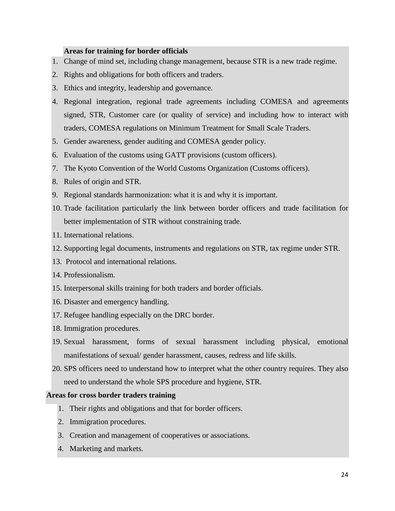### **Areas for training for border officials**

- 1. Change of mind set, including change management, because STR is a new trade regime.
- 2. Rights and obligations for both officers and traders.
- 3. Ethics and integrity, leadership and governance.
- 4. Regional integration, regional trade agreements including COMESA and agreements signed, STR, Customer care (or quality of service) and including how to interact with traders, COMESA regulations on Minimum Treatment for Small Scale Traders.
- 5. Gender awareness, gender auditing and COMESA gender policy.
- 6. Evaluation of the customs using GATT provisions (custom officers).
- 7. The Kyoto Convention of the World Customs Organization (Customs officers).
- 8. Rules of origin and STR.
- 9. Regional standards harmonization: what it is and why it is important.
- 10. Trade facilitation particularly the link between border officers and trade facilitation for better implementation of STR without constraining trade.
- 11. International relations.
- 12. Supporting legal documents, instruments and regulations on STR, tax regime under STR.
- 13. Protocol and international relations.
- 14. Professionalism.
- 15. Interpersonal skills training for both traders and border officials.
- 16. Disaster and emergency handling.
- 17. Refugee handling especially on the DRC border.
- 18. Immigration procedures.
- 19. Sexual harassment, forms of sexual harassment including physical, emotional manifestations of sexual/ gender harassment, causes, redress and life skills.
- 20. SPS officers need to understand how to interpret what the other country requires. They also need to understand the whole SPS procedure and hygiene, STR.

#### **Areas for cross border traders training**

- 1. Their rights and obligations and that for border officers.
- 2. Immigration procedures.
- 3. Creation and management of cooperatives or associations.
- 4. Marketing and markets.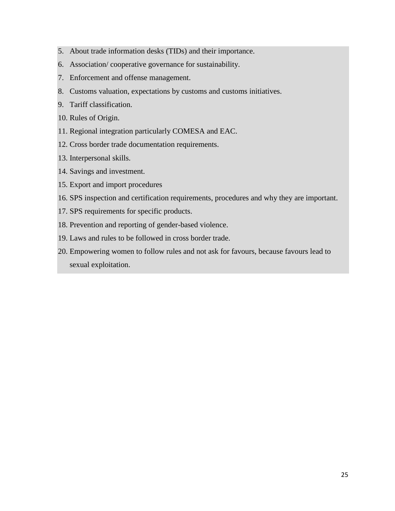- 5. About trade information desks (TIDs) and their importance.
- 6. Association/ cooperative governance for sustainability.
- 7. Enforcement and offense management.
- 8. Customs valuation, expectations by customs and customs initiatives.
- 9. Tariff classification.
- 10. Rules of Origin.
- 11. Regional integration particularly COMESA and EAC.
- 12. Cross border trade documentation requirements.
- 13. Interpersonal skills.
- 14. Savings and investment.
- 15. Export and import procedures
- 16. SPS inspection and certification requirements, procedures and why they are important.
- 17. SPS requirements for specific products.
- 18. Prevention and reporting of gender-based violence.
- 19. Laws and rules to be followed in cross border trade.
- 20. Empowering women to follow rules and not ask for favours, because favours lead to sexual exploitation.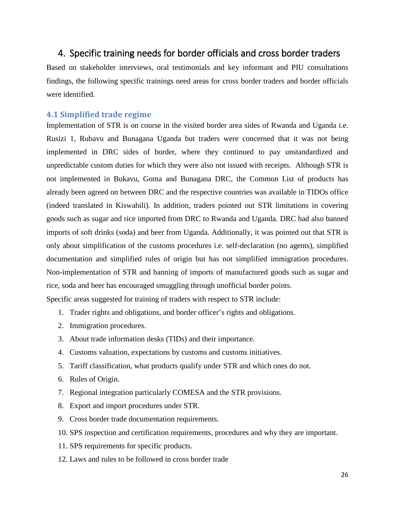# <span id="page-26-0"></span>4. Specific training needs for border officials and cross border traders

Based on stakeholder interviews, oral testimonials and key informant and PIU consultations findings, the following specific trainings need areas for cross border traders and border officials were identified.

### <span id="page-26-1"></span>**4.1 Simplified trade regime**

Implementation of STR is on course in the visited border area sides of Rwanda and Uganda i.e. Rusizi 1, Rubavu and Bunagana Uganda but traders were concerned that it was not being implemented in DRC sides of border, where they continued to pay unstandardized and unpredictable custom duties for which they were also not issued with receipts. Although STR is not implemented in Bukavu, Goma and Bunagana DRC, the Common List of products has already been agreed on between DRC and the respective countries was available in TIDOs office (indeed translated in Kiswahili). In addition, traders pointed out STR limitations in covering goods such as sugar and rice imported from DRC to Rwanda and Uganda. DRC had also banned imports of soft drinks (soda) and beer from Uganda. Additionally, it was pointed out that STR is only about simplification of the customs procedures i.e. self-declaration (no agents), simplified documentation and simplified rules of origin but has not simplified immigration procedures. Non-implementation of STR and banning of imports of manufactured goods such as sugar and rice, soda and beer has encouraged smuggling through unofficial border points. Specific areas suggested for training of traders with respect to STR include:

- 1. Trader rights and obligations, and border officer's rights and obligations.
- 2. Immigration procedures.
- 3. About trade information desks (TIDs) and their importance.
- 4. Customs valuation, expectations by customs and customs initiatives.
- 5. Tariff classification, what products qualify under STR and which ones do not.
- 6. Rules of Origin.
- 7. Regional integration particularly COMESA and the STR provisions.
- 8. Export and import procedures under STR.
- 9. Cross border trade documentation requirements.
- 10. SPS inspection and certification requirements, procedures and why they are important.
- 11. SPS requirements for specific products.
- 12. Laws and rules to be followed in cross border trade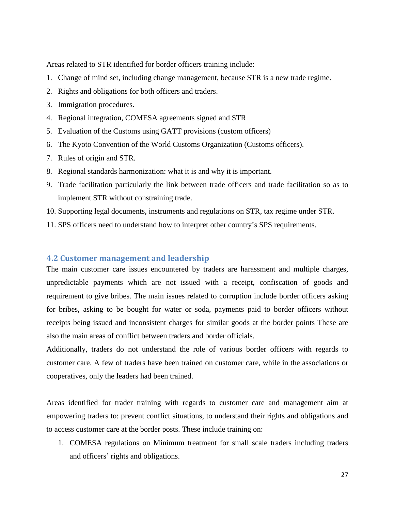Areas related to STR identified for border officers training include:

- 1. Change of mind set, including change management, because STR is a new trade regime.
- 2. Rights and obligations for both officers and traders.
- 3. Immigration procedures.
- 4. Regional integration, COMESA agreements signed and STR
- 5. Evaluation of the Customs using GATT provisions (custom officers)
- 6. The Kyoto Convention of the World Customs Organization (Customs officers).
- 7. Rules of origin and STR.
- 8. Regional standards harmonization: what it is and why it is important.
- 9. Trade facilitation particularly the link between trade officers and trade facilitation so as to implement STR without constraining trade.
- 10. Supporting legal documents, instruments and regulations on STR, tax regime under STR.
- 11. SPS officers need to understand how to interpret other country's SPS requirements.

### <span id="page-27-0"></span>**4.2 Customer management and leadership**

The main customer care issues encountered by traders are harassment and multiple charges, unpredictable payments which are not issued with a receipt, confiscation of goods and requirement to give bribes. The main issues related to corruption include border officers asking for bribes, asking to be bought for water or soda, payments paid to border officers without receipts being issued and inconsistent charges for similar goods at the border points These are also the main areas of conflict between traders and border officials.

Additionally, traders do not understand the role of various border officers with regards to customer care. A few of traders have been trained on customer care, while in the associations or cooperatives, only the leaders had been trained.

Areas identified for trader training with regards to customer care and management aim at empowering traders to: prevent conflict situations, to understand their rights and obligations and to access customer care at the border posts. These include training on:

1. COMESA regulations on Minimum treatment for small scale traders including traders and officers' rights and obligations.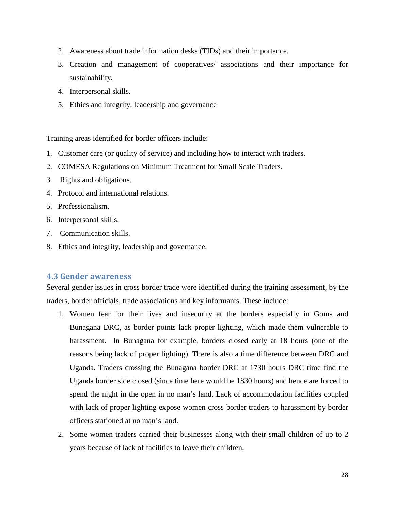- 2. Awareness about trade information desks (TIDs) and their importance.
- 3. Creation and management of cooperatives/ associations and their importance for sustainability.
- 4. Interpersonal skills.
- 5. Ethics and integrity, leadership and governance

Training areas identified for border officers include:

- 1. Customer care (or quality of service) and including how to interact with traders.
- 2. COMESA Regulations on Minimum Treatment for Small Scale Traders.
- 3. Rights and obligations.
- 4. Protocol and international relations.
- 5. Professionalism.
- 6. Interpersonal skills.
- 7. Communication skills.
- 8. Ethics and integrity, leadership and governance.

### <span id="page-28-0"></span>**4.3 Gender awareness**

Several gender issues in cross border trade were identified during the training assessment, by the traders, border officials, trade associations and key informants. These include:

- 1. Women fear for their lives and insecurity at the borders especially in Goma and Bunagana DRC, as border points lack proper lighting, which made them vulnerable to harassment. In Bunagana for example, borders closed early at 18 hours (one of the reasons being lack of proper lighting). There is also a time difference between DRC and Uganda. Traders crossing the Bunagana border DRC at 1730 hours DRC time find the Uganda border side closed (since time here would be 1830 hours) and hence are forced to spend the night in the open in no man's land. Lack of accommodation facilities coupled with lack of proper lighting expose women cross border traders to harassment by border officers stationed at no man's land.
- 2. Some women traders carried their businesses along with their small children of up to 2 years because of lack of facilities to leave their children.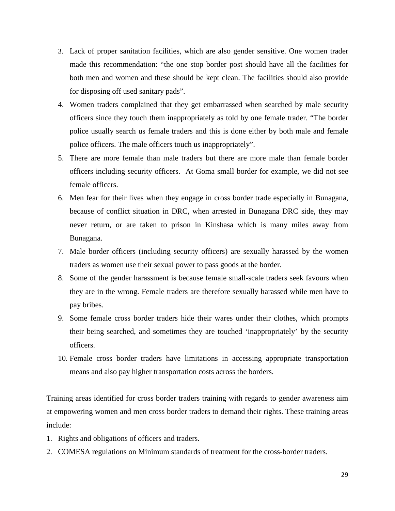- 3. Lack of proper sanitation facilities, which are also gender sensitive. One women trader made this recommendation: "the one stop border post should have all the facilities for both men and women and these should be kept clean. The facilities should also provide for disposing off used sanitary pads".
- 4. Women traders complained that they get embarrassed when searched by male security officers since they touch them inappropriately as told by one female trader. "The border police usually search us female traders and this is done either by both male and female police officers. The male officers touch us inappropriately".
- 5. There are more female than male traders but there are more male than female border officers including security officers. At Goma small border for example, we did not see female officers.
- 6. Men fear for their lives when they engage in cross border trade especially in Bunagana, because of conflict situation in DRC, when arrested in Bunagana DRC side, they may never return, or are taken to prison in Kinshasa which is many miles away from Bunagana.
- 7. Male border officers (including security officers) are sexually harassed by the women traders as women use their sexual power to pass goods at the border.
- 8. Some of the gender harassment is because female small-scale traders seek favours when they are in the wrong. Female traders are therefore sexually harassed while men have to pay bribes.
- 9. Some female cross border traders hide their wares under their clothes, which prompts their being searched, and sometimes they are touched 'inappropriately' by the security officers.
- 10. Female cross border traders have limitations in accessing appropriate transportation means and also pay higher transportation costs across the borders.

Training areas identified for cross border traders training with regards to gender awareness aim at empowering women and men cross border traders to demand their rights. These training areas include:

- 1. Rights and obligations of officers and traders.
- 2. COMESA regulations on Minimum standards of treatment for the cross-border traders.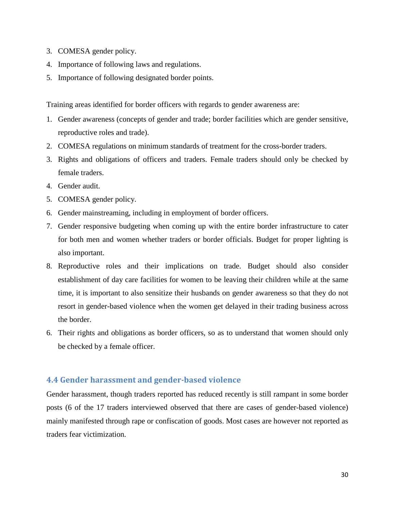- 3. COMESA gender policy.
- 4. Importance of following laws and regulations.
- 5. Importance of following designated border points.

Training areas identified for border officers with regards to gender awareness are:

- 1. Gender awareness (concepts of gender and trade; border facilities which are gender sensitive, reproductive roles and trade).
- 2. COMESA regulations on minimum standards of treatment for the cross-border traders.
- 3. Rights and obligations of officers and traders. Female traders should only be checked by female traders.
- 4. Gender audit.
- 5. COMESA gender policy.
- 6. Gender mainstreaming, including in employment of border officers.
- 7. Gender responsive budgeting when coming up with the entire border infrastructure to cater for both men and women whether traders or border officials. Budget for proper lighting is also important.
- 8. Reproductive roles and their implications on trade. Budget should also consider establishment of day care facilities for women to be leaving their children while at the same time, it is important to also sensitize their husbands on gender awareness so that they do not resort in gender-based violence when the women get delayed in their trading business across the border.
- 6. Their rights and obligations as border officers, so as to understand that women should only be checked by a female officer.

### <span id="page-30-0"></span>**4.4 Gender harassment and gender-based violence**

Gender harassment, though traders reported has reduced recently is still rampant in some border posts (6 of the 17 traders interviewed observed that there are cases of gender-based violence) mainly manifested through rape or confiscation of goods. Most cases are however not reported as traders fear victimization.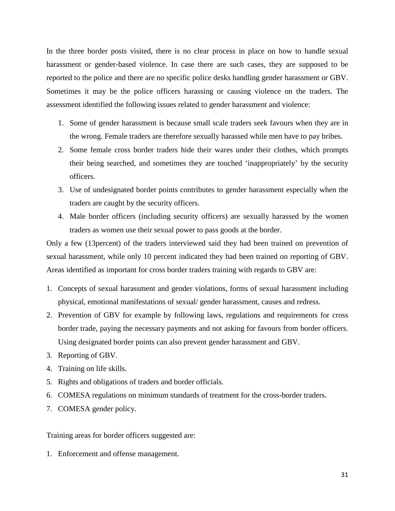In the three border posts visited, there is no clear process in place on how to handle sexual harassment or gender-based violence. In case there are such cases, they are supposed to be reported to the police and there are no specific police desks handling gender harassment or GBV. Sometimes it may be the police officers harassing or causing violence on the traders. The assessment identified the following issues related to gender harassment and violence:

- 1. Some of gender harassment is because small scale traders seek favours when they are in the wrong. Female traders are therefore sexually harassed while men have to pay bribes.
- 2. Some female cross border traders hide their wares under their clothes, which prompts their being searched, and sometimes they are touched 'inappropriately' by the security officers.
- 3. Use of undesignated border points contributes to gender harassment especially when the traders are caught by the security officers.
- 4. Male border officers (including security officers) are sexually harassed by the women traders as women use their sexual power to pass goods at the border.

Only a few (13percent) of the traders interviewed said they had been trained on prevention of sexual harassment, while only 10 percent indicated they had been trained on reporting of GBV. Areas identified as important for cross border traders training with regards to GBV are:

- 1. Concepts of sexual harassment and gender violations, forms of sexual harassment including physical, emotional manifestations of sexual/ gender harassment, causes and redress.
- 2. Prevention of GBV for example by following laws, regulations and requirements for cross border trade, paying the necessary payments and not asking for favours from border officers. Using designated border points can also prevent gender harassment and GBV.
- 3. Reporting of GBV.
- 4. Training on life skills.
- 5. Rights and obligations of traders and border officials.
- 6. COMESA regulations on minimum standards of treatment for the cross-border traders.
- 7. COMESA gender policy.

Training areas for border officers suggested are:

1. Enforcement and offense management.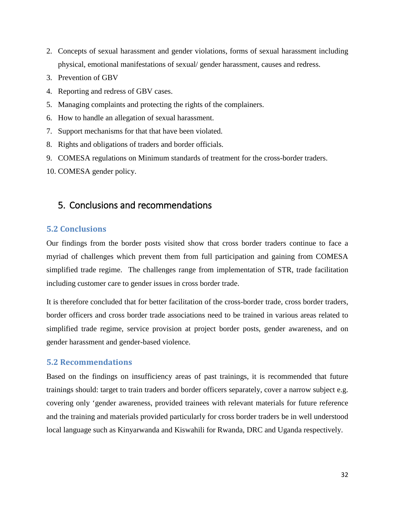- 2. Concepts of sexual harassment and gender violations, forms of sexual harassment including physical, emotional manifestations of sexual/ gender harassment, causes and redress.
- 3. Prevention of GBV
- 4. Reporting and redress of GBV cases.
- 5. Managing complaints and protecting the rights of the complainers.
- 6. How to handle an allegation of sexual harassment.
- 7. Support mechanisms for that that have been violated.
- 8. Rights and obligations of traders and border officials.
- 9. COMESA regulations on Minimum standards of treatment for the cross-border traders.
- 10. COMESA gender policy.

# <span id="page-32-0"></span>5. Conclusions and recommendations

### <span id="page-32-1"></span>**5.2 Conclusions**

Our findings from the border posts visited show that cross border traders continue to face a myriad of challenges which prevent them from full participation and gaining from COMESA simplified trade regime. The challenges range from implementation of STR, trade facilitation including customer care to gender issues in cross border trade.

It is therefore concluded that for better facilitation of the cross-border trade, cross border traders, border officers and cross border trade associations need to be trained in various areas related to simplified trade regime, service provision at project border posts, gender awareness, and on gender harassment and gender-based violence.

### <span id="page-32-2"></span>**5.2 Recommendations**

Based on the findings on insufficiency areas of past trainings, it is recommended that future trainings should: target to train traders and border officers separately, cover a narrow subject e.g. covering only 'gender awareness, provided trainees with relevant materials for future reference and the training and materials provided particularly for cross border traders be in well understood local language such as Kinyarwanda and Kiswahili for Rwanda, DRC and Uganda respectively.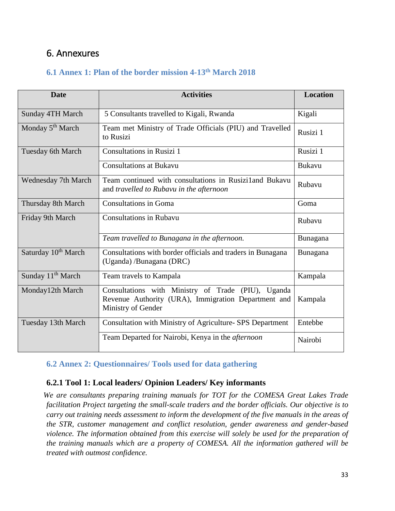# <span id="page-33-0"></span>6. Annexures

# **6.1 Annex 1: Plan of the border mission 4-13th March 2018**

| <b>Date</b>                     | <b>Activities</b>                                                                                                               | <b>Location</b> |
|---------------------------------|---------------------------------------------------------------------------------------------------------------------------------|-----------------|
| <b>Sunday 4TH March</b>         | 5 Consultants travelled to Kigali, Rwanda                                                                                       | Kigali          |
| Monday 5 <sup>th</sup> March    | Team met Ministry of Trade Officials (PIU) and Travelled<br>to Rusizi                                                           | Rusizi 1        |
| Tuesday 6th March               | <b>Consultations in Rusizi 1</b>                                                                                                | Rusizi 1        |
|                                 | <b>Consultations at Bukavu</b>                                                                                                  | <b>Bukavu</b>   |
| <b>Wednesday 7th March</b>      | Team continued with consultations in Rusizi1 and Bukavu<br>and travelled to Rubavu in the afternoon                             | Rubavu          |
| Thursday 8th March              | <b>Consultations in Goma</b>                                                                                                    | Goma            |
| Friday 9th March                | <b>Consultations in Rubavu</b>                                                                                                  | Rubavu          |
|                                 | Team travelled to Bunagana in the afternoon.                                                                                    | Bunagana        |
| Saturday 10 <sup>th</sup> March | Consultations with border officials and traders in Bunagana<br>(Uganda) /Bunagana (DRC)                                         | Bunagana        |
| Sunday 11 <sup>th</sup> March   | Team travels to Kampala                                                                                                         | Kampala         |
| Monday12th March                | Consultations with Ministry of Trade (PIU), Uganda<br>Revenue Authority (URA), Immigration Department and<br>Ministry of Gender | Kampala         |
| Tuesday 13th March              | Consultation with Ministry of Agriculture- SPS Department                                                                       | Entebbe         |
|                                 | Team Departed for Nairobi, Kenya in the afternoon                                                                               | Nairobi         |

## **6.2 Annex 2: Questionnaires/ Tools used for data gathering**

## **6.2.1 Tool 1: Local leaders/ Opinion Leaders/ Key informants**

*We are consultants preparing training manuals for TOT for the COMESA Great Lakes Trade facilitation Project targeting the small-scale traders and the border officials. Our objective is to carry out training needs assessment to inform the development of the five manuals in the areas of the STR, customer management and conflict resolution, gender awareness and gender-based violence. The information obtained from this exercise will solely be used for the preparation of the training manuals which are a property of COMESA. All the information gathered will be treated with outmost confidence.*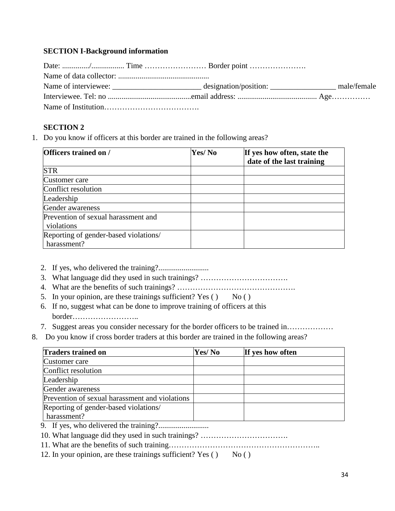### **SECTION I-Background information**

|  | male/female |
|--|-------------|
|  |             |
|  |             |

### **SECTION 2**

1. Do you know if officers at this border are trained in the following areas?

| <b>Officers trained on /</b>          | Yes/No | If yes how often, state the<br>date of the last training |
|---------------------------------------|--------|----------------------------------------------------------|
| <b>STR</b>                            |        |                                                          |
| Customer care                         |        |                                                          |
| Conflict resolution                   |        |                                                          |
| Leadership                            |        |                                                          |
| Gender awareness                      |        |                                                          |
| Prevention of sexual harassment and   |        |                                                          |
| violations                            |        |                                                          |
| Reporting of gender-based violations/ |        |                                                          |
| harassment?                           |        |                                                          |

- 2. If yes, who delivered the training?..........................
- 3. What language did they used in such trainings? …………………………….
- 4. What are the benefits of such trainings? ……………………………………….
- 5. In your opinion, are these trainings sufficient? Yes  $($   $)$  No  $($   $)$
- 6. If no, suggest what can be done to improve training of officers at this border……………………..
- 7. Suggest areas you consider necessary for the border officers to be trained in………………
- 8. Do you know if cross border traders at this border are trained in the following areas?

| <b>Traders trained on</b>                      | Yes/No | If yes how often |
|------------------------------------------------|--------|------------------|
| Customer care                                  |        |                  |
| Conflict resolution                            |        |                  |
| Leadership                                     |        |                  |
| Gender awareness                               |        |                  |
| Prevention of sexual harassment and violations |        |                  |
| Reporting of gender-based violations/          |        |                  |
| harassment?                                    |        |                  |
|                                                |        |                  |

- 10. What language did they used in such trainings? …………………………….
- 11. What are the benefits of such training…………………………………………………..
- 12. In your opinion, are these trainings sufficient? Yes  $($   $)$  No  $($   $)$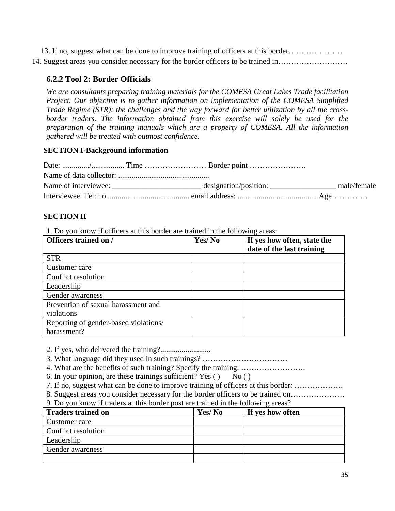13. If no, suggest what can be done to improve training of officers at this border………………… 14. Suggest areas you consider necessary for the border officers to be trained in………………………

## **6.2.2 Tool 2: Border Officials**

*We are consultants preparing training materials for the COMESA Great Lakes Trade facilitation Project. Our objective is to gather information on implementation of the COMESA Simplified Trade Regime (STR): the challenges and the way forward for better utilization by all the cross*border traders. The information obtained from this exercise will solely be used for the *preparation of the training manuals which are a property of COMESA. All the information gathered will be treated with outmost confidence.*

### **SECTION I-Background information**

|  | male/female |
|--|-------------|
|  |             |

## **SECTION II**

1. Do you know if officers at this border are trained in the following areas:

| Officers trained on /                 | Yes/No | If yes how often, state the<br>date of the last training |
|---------------------------------------|--------|----------------------------------------------------------|
| <b>STR</b>                            |        |                                                          |
| Customer care                         |        |                                                          |
| Conflict resolution                   |        |                                                          |
| Leadership                            |        |                                                          |
| Gender awareness                      |        |                                                          |
| Prevention of sexual harassment and   |        |                                                          |
| violations                            |        |                                                          |
| Reporting of gender-based violations/ |        |                                                          |
| harassment?                           |        |                                                          |

2. If yes, who delivered the training?..........................

3. What language did they used in such trainings? ……………………………

- 4. What are the benefits of such training? Specify the training: …………………….
- 6. In your opinion, are these trainings sufficient? Yes  $($   $)$  No  $($   $)$
- 7. If no, suggest what can be done to improve training of officers at this border: ……………….

8. Suggest areas you consider necessary for the border officers to be trained on…………………

### 9. Do you know if traders at this border post are trained in the following areas?

| <b>Traders trained on</b> | Yes/No | If yes how often |
|---------------------------|--------|------------------|
| Customer care             |        |                  |
| Conflict resolution       |        |                  |
| Leadership                |        |                  |
| Gender awareness          |        |                  |
|                           |        |                  |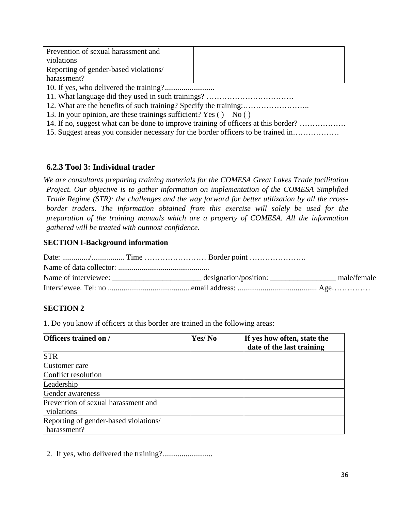| Prevention of sexual harassment and<br>violations    |  |
|------------------------------------------------------|--|
| Reporting of gender-based violations/<br>harassment? |  |

10. If yes, who delivered the training?..........................

11. What language did they used in such trainings? …………………………….

12. What are the benefits of such training? Specify the training:……………………..

13. In your opinion, are these trainings sufficient? Yes  $($   $)$  No  $($   $)$ 

14. If no, suggest what can be done to improve training of officers at this border? ………………

15. Suggest areas you consider necessary for the border officers to be trained in………………

## **6.2.3 Tool 3: Individual trader**

*We are consultants preparing training materials for the COMESA Great Lakes Trade facilitation Project. Our objective is to gather information on implementation of the COMESA Simplified Trade Regime (STR): the challenges and the way forward for better utilization by all the cross*border traders. The information obtained from this exercise will solely be used for the *preparation of the training manuals which are a property of COMESA. All the information gathered will be treated with outmost confidence.*

### **SECTION I-Background information**

|  | male/female |
|--|-------------|
|  |             |

## **SECTION 2**

1. Do you know if officers at this border are trained in the following areas:

| <b>Officers trained on /</b>          | Yes/No | If yes how often, state the |
|---------------------------------------|--------|-----------------------------|
|                                       |        | date of the last training   |
| <b>STR</b>                            |        |                             |
| Customer care                         |        |                             |
| Conflict resolution                   |        |                             |
| Leadership                            |        |                             |
| Gender awareness                      |        |                             |
| Prevention of sexual harassment and   |        |                             |
| violations                            |        |                             |
| Reporting of gender-based violations/ |        |                             |
| harassment?                           |        |                             |

2. If yes, who delivered the training?..........................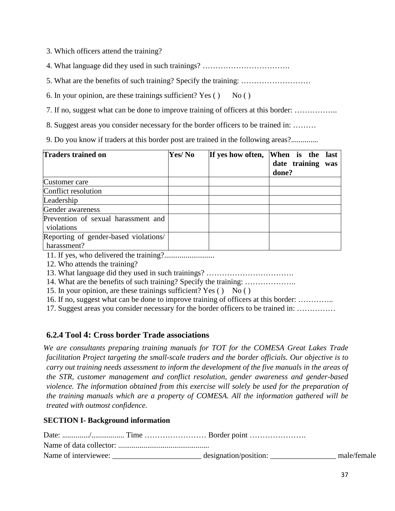3. Which officers attend the training?

- 4. What language did they used in such trainings? …………………………….
- 5. What are the benefits of such training? Specify the training: ………………………
- 6. In your opinion, are these trainings sufficient? Yes  $($   $)$  No  $($   $)$
- 7. If no, suggest what can be done to improve training of officers at this border: ……………..
- 8. Suggest areas you consider necessary for the border officers to be trained in: ………

9. Do you know if traders at this border post are trained in the following areas?..............

| <b>Traders trained on</b>                            | Yes/No | If yes how often, | When is the last<br>date training was<br>done? |
|------------------------------------------------------|--------|-------------------|------------------------------------------------|
| Customer care                                        |        |                   |                                                |
| Conflict resolution                                  |        |                   |                                                |
| Leadership                                           |        |                   |                                                |
| Gender awareness                                     |        |                   |                                                |
| Prevention of sexual harassment and<br>violations    |        |                   |                                                |
| Reporting of gender-based violations/<br>harassment? |        |                   |                                                |

11. If yes, who delivered the training?..........................

12. Who attends the training?

13. What language did they used in such trainings? …………………………….

14. What are the benefits of such training? Specify the training: ………………..

15. In your opinion, are these trainings sufficient? Yes  $($   $)$  No  $($   $)$ 

16. If no, suggest what can be done to improve training of officers at this border: …………..

17. Suggest areas you consider necessary for the border officers to be trained in: ……………

# **6.2.4 Tool 4: Cross border Trade associations**

*We are consultants preparing training manuals for TOT for the COMESA Great Lakes Trade facilitation Project targeting the small-scale traders and the border officials. Our objective is to carry out training needs assessment to inform the development of the five manuals in the areas of the STR, customer management and conflict resolution, gender awareness and gender-based violence. The information obtained from this exercise will solely be used for the preparation of the training manuals which are a property of COMESA. All the information gathered will be treated with outmost confidence.*

### **SECTION I- Background information**

| Name of interviewee: | designation/position: | male/female |
|----------------------|-----------------------|-------------|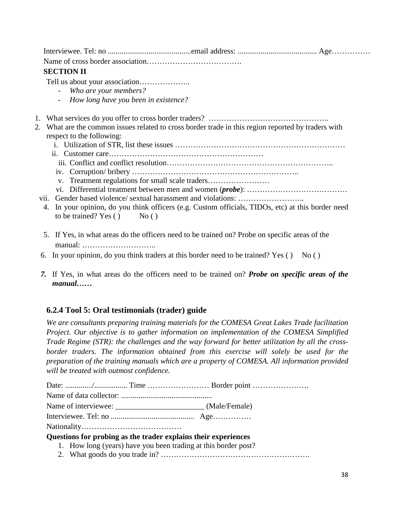Interviewee. Tel: no ...........................................email address: ......................................... Age…………… Name of cross border association………………………………. **SECTION II**  Tell us about your association……………….. - *Who are your members?* - *How long have you been in existence?* 1. What services do you offer to cross border traders? ……………………………………….. 2. What are the common issues related to cross border trade in this region reported by traders with respect to the following: i. Utilization of STR, list these issues ………………………………………………………… ii. Customer care…………………………………………………… iii. Conflict and conflict resolution……………………………………………………….. iv. Corruption/ bribery ……………………………………………………….. v. Treatment regulations for small scale traders…………………… vi. Differential treatment between men and women (*probe*): ………………………………… vii. Gender based violence/ sextual harassment and violations: …………………….. 4. In your opinion, do you think officers (e.g. Custom officials, TIDOs, etc) at this border need to be trained? Yes  $()$  No  $()$ 

- 5. If Yes, in what areas do the officers need to be trained on? Probe on specific areas of the manual: ………………………..
- 6. In your opinion, do you think traders at this border need to be trained? Yes ( $\overline{)$  No ( $\overline{)}$ )
- *7.* If Yes, in what areas do the officers need to be trained on? *Probe on specific areas of the manual……*

# **6.2.4 Tool 5: Oral testimonials (trader) guide**

*We are consultants preparing training materials for the COMESA Great Lakes Trade facilitation Project. Our objective is to gather information on implementation of the COMESA Simplified Trade Regime (STR): the challenges and the way forward for better utilization by all the cross*border traders. The information obtained from this exercise will solely be used for the *preparation of the training manuals which are a property of COMESA. All information provided will be treated with outmost confidence.*

|  | Questions for probing as the trader explains their experiences |  |
|--|----------------------------------------------------------------|--|
|  | 1. How long (years) have you been trading at this border post? |  |
|  |                                                                |  |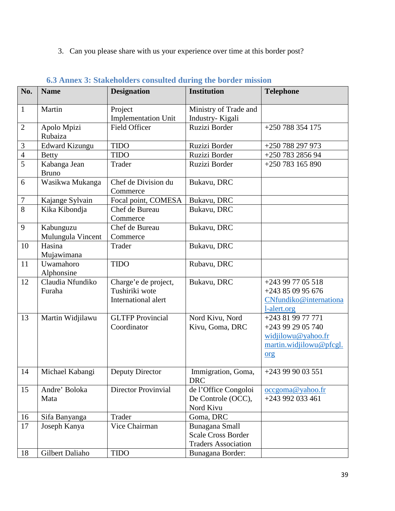3. Can you please share with us your experience over time at this border post?

| No.              | <b>Name</b>                    | $\sigma$ . Thin $\alpha$ $\sigma$ , buinthonities consulted during the border important<br><b>Designation</b> | <b>Institution</b>               | <b>Telephone</b>                               |
|------------------|--------------------------------|---------------------------------------------------------------------------------------------------------------|----------------------------------|------------------------------------------------|
|                  |                                |                                                                                                               |                                  |                                                |
| $\mathbf{1}$     | Martin                         | Project                                                                                                       | Ministry of Trade and            |                                                |
|                  |                                | <b>Implementation Unit</b>                                                                                    | Industry-Kigali                  |                                                |
| $\overline{2}$   | Apolo Mpizi                    | <b>Field Officer</b>                                                                                          | Ruzizi Border                    | +250 788 354 175                               |
|                  | Rubaiza                        |                                                                                                               |                                  |                                                |
| $\mathfrak{Z}$   | <b>Edward Kizungu</b>          | <b>TIDO</b>                                                                                                   | Ruzizi Border                    | +250 788 297 973                               |
| $\overline{4}$   | <b>Betty</b>                   | <b>TIDO</b>                                                                                                   | Ruzizi Border                    | +250 783 2856 94                               |
| $\overline{5}$   | Kabanga Jean<br><b>Bruno</b>   | Trader                                                                                                        | Ruzizi Border                    | +250 783 165 890                               |
| 6                | Wasikwa Mukanga                | Chef de Division du<br>Commerce                                                                               | Bukavu, DRC                      |                                                |
| $\boldsymbol{7}$ | Kajange Sylvain                | Focal point, COMESA                                                                                           | Bukavu, DRC                      |                                                |
| 8                | Kika Kibondja                  | Chef de Bureau<br>Commerce                                                                                    | Bukavu, DRC                      |                                                |
| 9                | Kabunguzu<br>Mulungula Vincent | Chef de Bureau<br>Commerce                                                                                    | Bukavu, DRC                      |                                                |
| 10               | Hasina<br>Mujawimana           | Trader                                                                                                        | Bukavu, DRC                      |                                                |
| 11               | Uwamahoro<br>Alphonsine        | <b>TIDO</b>                                                                                                   | Rubavu, DRC                      |                                                |
| 12               | Claudia Nfundiko               | Charge'e de project,                                                                                          | Bukavu, DRC                      | +243 99 77 05 518                              |
|                  | Furaha                         | Tushiriki wote                                                                                                |                                  | +243 85 09 95 676                              |
|                  |                                | International alert                                                                                           |                                  | CNfundiko@internationa                         |
|                  |                                |                                                                                                               |                                  | l-alert.org                                    |
| 13               | Martin Widjilawu               | <b>GLTFP</b> Provincial                                                                                       | Nord Kivu, Nord                  | +243 81 99 77 771                              |
|                  |                                | Coordinator                                                                                                   | Kivu, Goma, DRC                  | +243 99 29 05 740                              |
|                  |                                |                                                                                                               |                                  | widjilowu@yahoo.fr                             |
|                  |                                |                                                                                                               |                                  | martin.widjilowu@pfcgl.                        |
|                  |                                |                                                                                                               |                                  | org                                            |
| 14               | Michael Kabangi                | Deputy Director                                                                                               | Immigration, Goma,<br><b>DRC</b> | +243 99 90 03 551                              |
| 15               | Andre' Boloka                  | <b>Director Provinvial</b>                                                                                    | de l'Office Congoloi             | $\frac{\text{occupon}(a)}{\text{gd}}$ vahoo.fr |
|                  | Mata                           |                                                                                                               | De Controle (OCC),               | +243 992 033 461                               |
|                  |                                |                                                                                                               | Nord Kivu                        |                                                |
| 16               | Sifa Banyanga                  | Trader                                                                                                        | Goma, DRC                        |                                                |
| 17               | Joseph Kanya                   | Vice Chairman                                                                                                 | Bunagana Small                   |                                                |
|                  |                                |                                                                                                               | <b>Scale Cross Border</b>        |                                                |
|                  |                                |                                                                                                               | <b>Traders Association</b>       |                                                |
| 18               | Gilbert Daliaho                | <b>TIDO</b>                                                                                                   | Bunagana Border:                 |                                                |

# **6.3 Annex 3: Stakeholders consulted during the border mission**